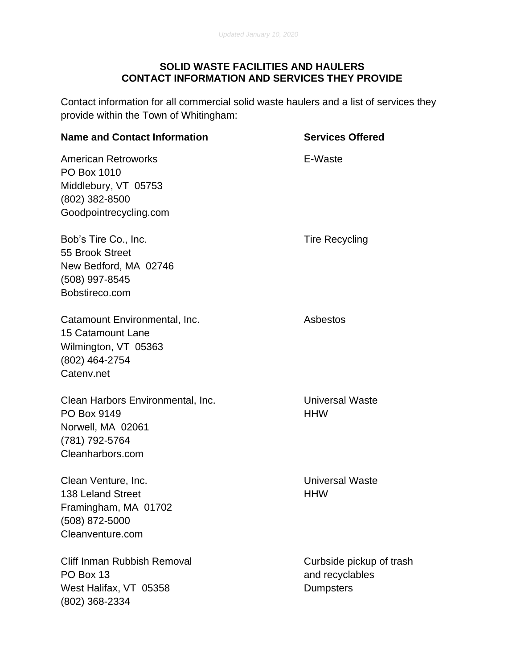## **SOLID WASTE FACILITIES AND HAULERS CONTACT INFORMATION AND SERVICES THEY PROVIDE**

Contact information for all commercial solid waste haulers and a list of services they provide within the Town of Whitingham:

## **Name and Contact Information <b>Services** Offered American Retroworks **E-Waste** PO Box 1010 Middlebury, VT 05753 (802) 382-8500 Goodpointrecycling.com Bob's Tire Co., Inc. Tire Recycling 55 Brook Street New Bedford, MA 02746 (508) 997-8545 Bobstireco.com Catamount Environmental, Inc. **Asbestos** Asbestos 15 Catamount Lane Wilmington, VT 05363 (802) 464-2754 Catenv.net Clean Harbors Environmental, Inc. Universal Waste PO Box 9149 **HHW** Norwell, MA 02061 (781) 792-5764 Cleanharbors.com Clean Venture, Inc. Universal Waste 138 Leland Street **HHW** Framingham, MA 01702 (508) 872-5000 Cleanventure.com Cliff Inman Rubbish Removal Curbside pickup of trash

PO Box 13 and recyclables West Halifax, VT 05358 Dumpsters (802) 368-2334